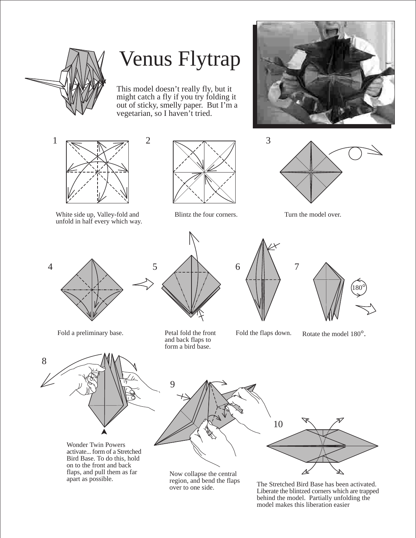

## Venus Flytrap

This model doesn't really fly, but it might catch a fly if you try folding it out of sticky, smelly paper. But I'm a vegetarian, so I haven't tried.















Fold a preliminary base. Petal fold the front

8

apart as possible.



Fold the flaps down. Rotate the model 180°.





Now collapse the central region, and bend the flaps

region, and bend the Haps<br>over to one side.<br>I identified a proper which are transported. Liberate the blintzed corners which are trapped behind the model. Partially unfolding the model makes this liberation easier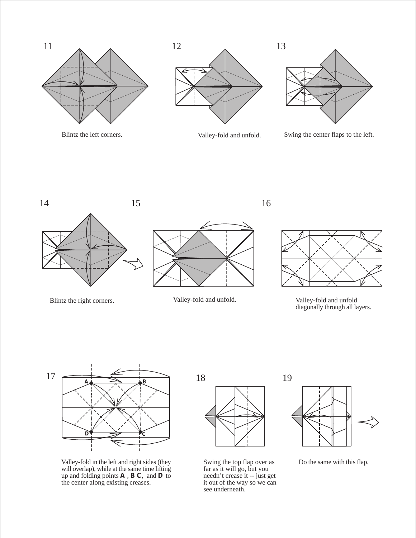





Blintz the left corners. Valley-fold and unfold. Swing the center flaps to the left.







Blintz the right corners. Valley-fold and unfold. Valley-fold and unfold diagonally through all layers.



Valley-fold in the left and right sides (they will overlap), while at the same time lifting up and folding points **A** , **B C**, and **D** to the center along existing creases.



Swing the top flap over as far as it will go, but you needn't crease it -- just get it out of the way so we can see underneath.



Do the same with this flap.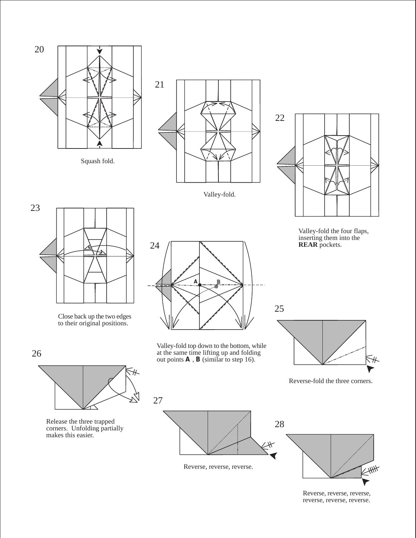

Squash fold.



Valley-fold.



Valley-fold the four flaps, inserting them into the **REAR** pockets.



Close back up the two edges to their original positions.



Valley-fold top down to the bottom, while at the same time lifting up and folding out points **A** , **B** (similar to step 16).



Reverse-fold the three corners.



Release the three trapped corners. Unfolding partially makes this easier.



Reverse, reverse, reverse.

Reverse, reverse, reverse, reverse, reverse, reverse.